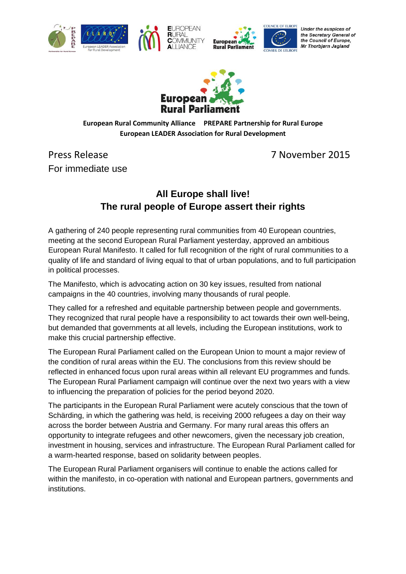





Under the auspices of the Secretary General of the Council of Europe, Mr Thorbjørn Jagland



**Europea** 

#### **European Rural Community Alliance PREPARE Partnership for Rural Europe European LEADER Association for Rural Development**

Press Release 7 November 2015 For immediate use

# **All Europe shall live! The rural people of Europe assert their rights**

A gathering of 240 people representing rural communities from 40 European countries, meeting at the second European Rural Parliament yesterday, approved an ambitious European Rural Manifesto. It called for full recognition of the right of rural communities to a quality of life and standard of living equal to that of urban populations, and to full participation in political processes.

The Manifesto, which is advocating action on 30 key issues, resulted from national campaigns in the 40 countries, involving many thousands of rural people.

They called for a refreshed and equitable partnership between people and governments. They recognized that rural people have a responsibility to act towards their own well-being, but demanded that governments at all levels, including the European institutions, work to make this crucial partnership effective.

The European Rural Parliament called on the European Union to mount a major review of the condition of rural areas within the EU. The conclusions from this review should be reflected in enhanced focus upon rural areas within all relevant EU programmes and funds. The European Rural Parliament campaign will continue over the next two years with a view to influencing the preparation of policies for the period beyond 2020.

The participants in the European Rural Parliament were acutely conscious that the town of Schärding, in which the gathering was held, is receiving 2000 refugees a day on their way across the border between Austria and Germany. For many rural areas this offers an opportunity to integrate refugees and other newcomers, given the necessary job creation, investment in housing, services and infrastructure. The European Rural Parliament called for a warm-hearted response, based on solidarity between peoples.

The European Rural Parliament organisers will continue to enable the actions called for within the manifesto, in co-operation with national and European partners, governments and institutions.